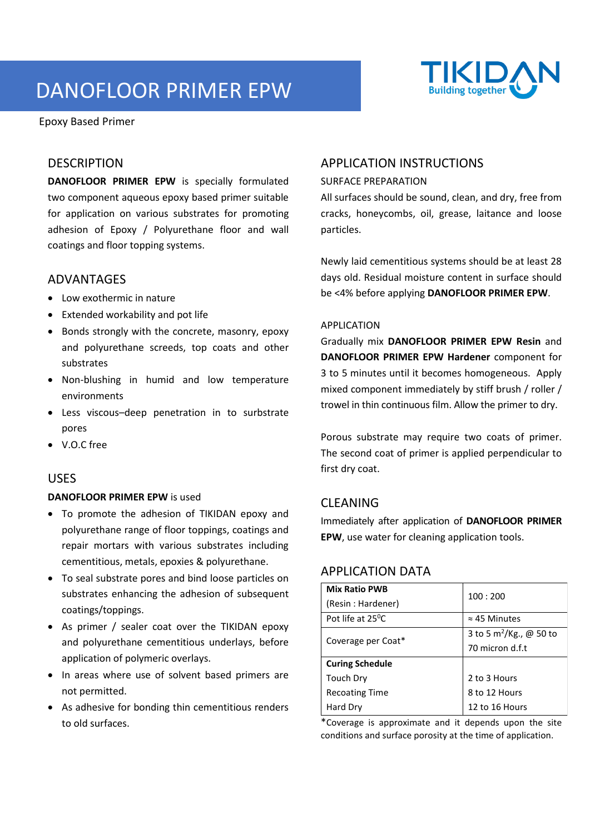# DANOFLOOR PRIMER EPW

Epoxy Based Primer

### DESCRIPTION

**DANOFLOOR PRIMER EPW** is specially formulated two component aqueous epoxy based primer suitable for application on various substrates for promoting adhesion of Epoxy / Polyurethane floor and wall coatings and floor topping systems.

### ADVANTAGES

- Low exothermic in nature
- Extended workability and pot life
- Bonds strongly with the concrete, masonry, epoxy and polyurethane screeds, top coats and other substrates
- Non-blushing in humid and low temperature environments
- Less viscous–deep penetration in to surbstrate pores
- V.O.C free

### USES

#### **DANOFLOOR PRIMER EPW** is used

- To promote the adhesion of TIKIDAN epoxy and polyurethane range of floor toppings, coatings and repair mortars with various substrates including cementitious, metals, epoxies & polyurethane.
- To seal substrate pores and bind loose particles on substrates enhancing the adhesion of subsequent coatings/toppings.
- As primer / sealer coat over the TIKIDAN epoxy and polyurethane cementitious underlays, before application of polymeric overlays.
- In areas where use of solvent based primers are not permitted.
- As adhesive for bonding thin cementitious renders to old surfaces.

### APPLICATION INSTRUCTIONS

#### SURFACE PREPARATION

All surfaces should be sound, clean, and dry, free from cracks, honeycombs, oil, grease, laitance and loose particles.

Newly laid cementitious systems should be at least 28 days old. Residual moisture content in surface should be <4% before applying **DANOFLOOR PRIMER EPW**.

#### APPLICATION

Gradually mix **DANOFLOOR PRIMER EPW Resin** and **DANOFLOOR PRIMER EPW Hardener** component for 3 to 5 minutes until it becomes homogeneous. Apply mixed component immediately by stiff brush / roller / trowel in thin continuous film. Allow the primer to dry.

Porous substrate may require two coats of primer. The second coat of primer is applied perpendicular to first dry coat.

### CLEANING

Immediately after application of **DANOFLOOR PRIMER EPW**, use water for cleaning application tools.

## APPLICATION DATA

| <b>Mix Ratio PWB</b>          | 100:200                             |  |
|-------------------------------|-------------------------------------|--|
| (Resin: Hardener)             |                                     |  |
| Pot life at 25 <sup>o</sup> C | $\approx$ 45 Minutes                |  |
| Coverage per Coat*            | 3 to 5 m <sup>2</sup> /Kg., @ 50 to |  |
|                               | 70 micron d.f.t                     |  |
| <b>Curing Schedule</b>        |                                     |  |
| Touch Dry                     | 2 to 3 Hours                        |  |
| <b>Recoating Time</b>         | 8 to 12 Hours                       |  |
| Hard Dry                      | 12 to 16 Hours                      |  |

\*Coverage is approximate and it depends upon the site conditions and surface porosity at the time of application.